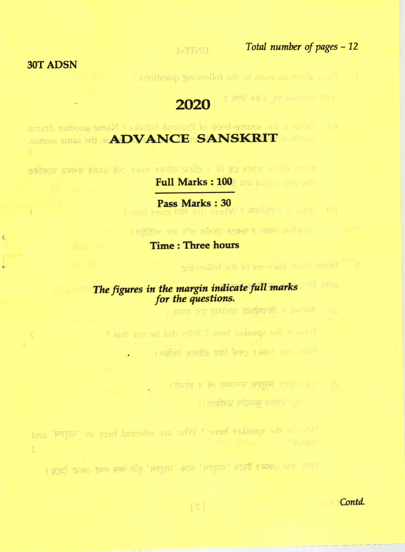: एकी इससे उत्त के प्रेसिंग में

I-TIVIL

## **30T ADSN**

墨

1. Give short answers to the following questions :

া । তেওঁ কিন পৰা ? ভৰতে তেওঁক ক'ত লগ পাইছিল।

नायोध्या तें विनायोध्या सार्योध्या यत्र राघव:।

भार मातृश्च मातृश्च मध्यस्था त्वं न शोभते।

ा स्वास्थीमध्ये कुनदीव प्रवेशिता।।

रेगाए नजा काम? एक किया परेमान किलि?

2<sup>07</sup> Write short answers of the following

## 2020

the source-book of Pratima Nataka? Name another drama **SOZUOS SANS SAU ADVANCE SANSKRIT** Ĩ

গাঁওমা নাটকৰ আধাৰ গ্ৰন্থ কি ? প্ৰতিমা নাটকৰ ৰচকৰ সেই উৎসৰ ওপৰত আধাৰিত

Full Marks : 100 FFF POUR FEB RE

Pass Marks: 30 (b) Who is depictes ? Where did भारत meet him ?

**Time: Three hours** 

The figures in the margin indicate full marks for the questions.

Who is the speaker here ? Why did he say this ?

Who is the speaker here? Who are referred here as 'Hidge' and  $\bar{\mathbb{Z}}$ 

হয়াও কভা কোন ? ইয়াত ' নারহন' আৰু ' নারহম' বুলি কাৰ কথা কোৱা হৈছে ?

Contd.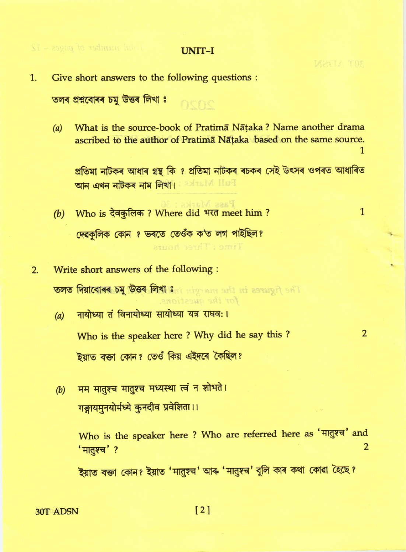nene

Give short answers to the following questions :  $1.$ 

তলৰ প্ৰশ্নবোৰৰ চমু উত্তৰ লিখা ঃ

 $\frac{1}{4}$  start in the page  $\sim 12$ 

What is the source-book of Pratima Nataka? Name another drama  $(a)$ ascribed to the author of Pratima Nataka based on the same source.

প্ৰতিমা নাটকৰ আধাৰ গ্ৰন্থ কি ? প্ৰতিমা নাটকৰ ৰচকৰ সেই উৎসৰ ওপৰত আধাৰিত **আন এখন নাটকৰ নাম লিখা।** Extrait Hull

Page Mist

Time: Three hours

for the auestions.

- (b) Who is देवकुलिक? Where did भरत meet him? দেৱকলিক কোন ? ভৰতে তেওঁক ক'ত লগ পাইছিল?
- Write short answers of the following :  $2.$ **তলত দিয়াবোৰৰ চমু উত্তৰ লিখা ঃ second set and assumed set!** 
	- नायोध्या तं विनायोध्या सायोध्या यत्र राघवः ।  $(a)$ Who is the speaker here? Why did he say this? ইয়াত বক্তা কোন? তেওঁ কিয় এইদৰে কৈছিল?
	- मम मातुश्च मातुश्च मध्यस्था त्वं न शोभते।  $(b)$ गङ्गायमुनयोर्मध्ये कुनदीव प्रवेशिता।।

Who is the speaker here ? Who are referred here as 'मातुश्च' and  $\overline{2}$ 'मातुश्च' ?

ইয়াত বক্তা কোন? ইয়াত 'मানুম্ন' আৰু 'मানুম্ন' বুলি কাৰ কথা কোৱা হৈছে?

30T ADSN

 $\overline{2}$ 

 $\mathbf{1}$ 

 $\mathbf{1}$